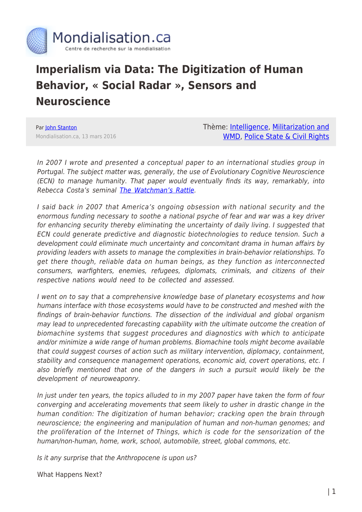

## **Imperialism via Data: The Digitization of Human Behavior, « Social Radar », Sensors and Neuroscience**

Par [John Stanton](https://www.mondialisation.ca/author/john-stanton) Mondialisation.ca, 13 mars 2016 Thème: [Intelligence](https://www.mondialisation.ca/theme/intelligence), [Militarization and](https://www.mondialisation.ca/theme/militarization-and-wmd) [WMD](https://www.mondialisation.ca/theme/militarization-and-wmd), [Police State & Civil Rights](https://www.mondialisation.ca/theme/police-state-civil-rights)

In 2007 I wrote and presented a conceptual paper to an international studies group in Portugal. The subject matter was, generally, the use of Evolutionary Cognitive Neuroscience (ECN) to manage humanity. That paper would eventually finds its way, remarkably, into Rebecca Costa's seminal [The Watchman's Rattle.](http://www.rebeccacosta.com/about-the-book.htm)

I said back in 2007 that America's ongoing obsession with national security and the enormous funding necessary to soothe a national psyche of fear and war was a key driver for enhancing security thereby eliminating the uncertainty of daily living. I suggested that ECN could generate predictive and diagnostic biotechnologies to reduce tension. Such a development could eliminate much uncertainty and concomitant drama in human affairs by providing leaders with assets to manage the complexities in brain-behavior relationships. To get there though, reliable data on human beings, as they function as interconnected consumers, warfighters, enemies, refugees, diplomats, criminals, and citizens of their respective nations would need to be collected and assessed.

I went on to say that a comprehensive knowledge base of planetary ecosystems and how humans interface with those ecosystems would have to be constructed and meshed with the findings of brain-behavior functions. The dissection of the individual and global organism may lead to unprecedented forecasting capability with the ultimate outcome the creation of biomachine systems that suggest procedures and diagnostics with which to anticipate and/or minimize a wide range of human problems. Biomachine tools might become available that could suggest courses of action such as military intervention, diplomacy, containment, stability and consequence management operations, economic aid, covert operations, etc. I also briefly mentioned that one of the dangers in such a pursuit would likely be the development of neuroweaponry.

In just under ten years, the topics alluded to in my 2007 paper have taken the form of four converging and accelerating movements that seem likely to usher in drastic change in the human condition: The digitization of human behavior; cracking open the brain through neuroscience; the engineering and manipulation of human and non-human genomes; and the proliferation of the Internet of Things, which is code for the sensorization of the human/non-human, home, work, school, automobile, street, global commons, etc.

Is it any surprise that the Anthropocene is upon us?

What Happens Next?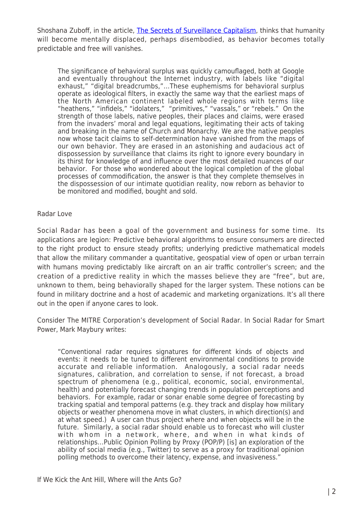Shoshana Zuboff, in the article, [The Secrets of Surveillance Capitalism,](http://www.faz.net/aktuell/feuilleton/debatten/the-digital-debate/shoshana-zuboff-secrets-of-surveillance-capitalism-14103616.html) thinks that humanity will become mentally displaced, perhaps disembodied, as behavior becomes totally predictable and free will vanishes.

The significance of behavioral surplus was quickly camouflaged, both at Google and eventually throughout the Internet industry, with labels like "digital exhaust," "digital breadcrumbs,"…These euphemisms for behavioral surplus operate as ideological filters, in exactly the same way that the earliest maps of the North American continent labeled whole regions with terms like "heathens," "infidels," "idolaters," "primitives," "vassals," or "rebels." On the strength of those labels, native peoples, their places and claims, were erased from the invaders' moral and legal equations, legitimating their acts of taking and breaking in the name of Church and Monarchy. We are the native peoples now whose tacit claims to self-determination have vanished from the maps of our own behavior. They are erased in an astonishing and audacious act of dispossession by surveillance that claims its right to ignore every boundary in its thirst for knowledge of and influence over the most detailed nuances of our behavior. For those who wondered about the logical completion of the global processes of commodification, the answer is that they complete themselves in the dispossession of our intimate quotidian reality, now reborn as behavior to be monitored and modified, bought and sold.

## Radar Love

Social Radar has been a goal of the government and business for some time. Its applications are legion: Predictive behavioral algorithms to ensure consumers are directed to the right product to ensure steady profits; underlying predictive mathematical models that allow the military commander a quantitative, geospatial view of open or urban terrain with humans moving predictably like aircraft on an air traffic controller's screen; and the creation of a predictive reality in which the masses believe they are "free", but are, unknown to them, being behaviorally shaped for the larger system. These notions can be found in military doctrine and a host of academic and marketing organizations. It's all there out in the open if anyone cares to look.

Consider The MITRE Corporation's development of Social Radar. In Social Radar for Smart Power, Mark Maybury writes:

"Conventional radar requires signatures for different kinds of objects and events: it needs to be tuned to different environmental conditions to provide accurate and reliable information. Analogously, a social radar needs signatures, calibration, and correlation to sense, if not forecast, a broad spectrum of phenomena (e.g., political, economic, social, environmental, health) and potentially forecast changing trends in population perceptions and behaviors. For example, radar or sonar enable some degree of forecasting by tracking spatial and temporal patterns (e.g. they track and display how military objects or weather phenomena move in what clusters, in which direction(s) and at what speed.) A user can thus project where and when objects will be in the future. Similarly, a social radar should enable us to forecast who will cluster with whom in a network, where, and when in what kinds of relationships…Public Opinion Polling by Proxy (POP/P) [is] an exploration of the ability of social media (e.g., Twitter) to serve as a proxy for traditional opinion polling methods to overcome their latency, expense, and invasiveness."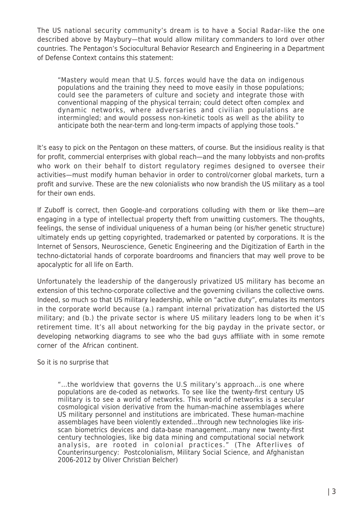The US national security community's dream is to have a Social Radar–like the one described above by Maybury—that would allow military commanders to lord over other countries. The Pentagon's Sociocultural Behavior Research and Engineering in a Department of Defense Context contains this statement:

"Mastery would mean that U.S. forces would have the data on indigenous populations and the training they need to move easily in those populations; could see the parameters of culture and society and integrate those with conventional mapping of the physical terrain; could detect often complex and dynamic networks, where adversaries and civilian populations are intermingled; and would possess non-kinetic tools as well as the ability to anticipate both the near-term and long-term impacts of applying those tools."

It's easy to pick on the Pentagon on these matters, of course. But the insidious reality is that for profit, commercial enterprises with global reach—and the many lobbyists and non-profits who work on their behalf to distort regulatory regimes designed to oversee their activities—must modify human behavior in order to control/corner global markets, turn a profit and survive. These are the new colonialists who now brandish the US military as a tool for their own ends.

If Zuboff is correct, then Google–and corporations colluding with them or like them—are engaging in a type of intellectual property theft from unwitting customers. The thoughts, feelings, the sense of individual uniqueness of a human being (or his/her genetic structure) ultimately ends up getting copyrighted, trademarked or patented by corporations. It is the Internet of Sensors, Neuroscience, Genetic Engineering and the Digitization of Earth in the techno-dictatorial hands of corporate boardrooms and financiers that may well prove to be apocalyptic for all life on Earth.

Unfortunately the leadership of the dangerously privatized US military has become an extension of this techno-corporate collective and the governing civilians the collective owns. Indeed, so much so that US military leadership, while on "active duty", emulates its mentors in the corporate world because (a.) rampant internal privatization has distorted the US military; and (b.) the private sector is where US military leaders long to be when it's retirement time. It's all about networking for the big payday in the private sector, or developing networking diagrams to see who the bad guys affiliate with in some remote corner of the African continent.

So it is no surprise that

"…the worldview that governs the U.S military's approach…is one where populations are de-coded as networks. To see like the twenty-first century US military is to see a world of networks. This world of networks is a secular cosmological vision derivative from the human-machine assemblages where US military personnel and institutions are imbricated. These human-machine assemblages have been violently extended…through new technologies like irisscan biometrics devices and data-base management…many new twenty-first century technologies, like big data mining and computational social network analysis, are rooted in colonial practices." (The Afterlives of Counterinsurgency: Postcolonialism, Military Social Science, and Afghanistan 2006-2012 by Oliver Christian Belcher)